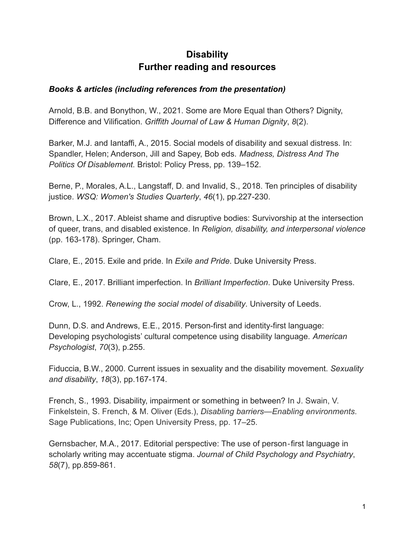# **Disability Further reading and resources**

# *Books & articles (including references from the presentation)*

Arnold, B.B. and Bonython, W., 2021. Some are More Equal than Others? Dignity, Difference and Vilification. *Griffith Journal of Law & Human Dignity*, *8*(2).

Barker, M.J. and Iantaffi, A., 2015. Social models of disability and sexual distress. In: Spandler, Helen; Anderson, Jill and Sapey, Bob eds. *Madness, Distress And The Politics Of Disablement.* Bristol: Policy Press, pp. 139–152.

Berne, P., Morales, A.L., Langstaff, D. and Invalid, S., 2018. Ten principles of disability justice. *WSQ: Women's Studies Quarterly*, *46*(1), pp.227-230.

Brown, L.X., 2017. Ableist shame and disruptive bodies: Survivorship at the intersection of queer, trans, and disabled existence. In *Religion, disability, and interpersonal violence* (pp. 163-178). Springer, Cham.

Clare, E., 2015. Exile and pride. In *Exile and Pride*. Duke University Press.

Clare, E., 2017. Brilliant imperfection. In *Brilliant Imperfection*. Duke University Press.

Crow, L., 1992. *Renewing the social model of disability*. University of Leeds.

Dunn, D.S. and Andrews, E.E., 2015. Person-first and identity-first language: Developing psychologists' cultural competence using disability language. *American Psychologist*, *70*(3), p.255.

Fiduccia, B.W., 2000. Current issues in sexuality and the disability movement. *Sexuality and disability*, *18*(3), pp.167-174.

French, S., 1993. Disability, impairment or something in between? In J. Swain, V. Finkelstein, S. French, & M. Oliver (Eds.), *Disabling barriers—Enabling environments*. Sage Publications, Inc; Open University Press, pp. 17–25.

Gernsbacher, M.A., 2017. Editorial perspective: The use of person‐first language in scholarly writing may accentuate stigma. *Journal of Child Psychology and Psychiatry*, *58*(7), pp.859-861.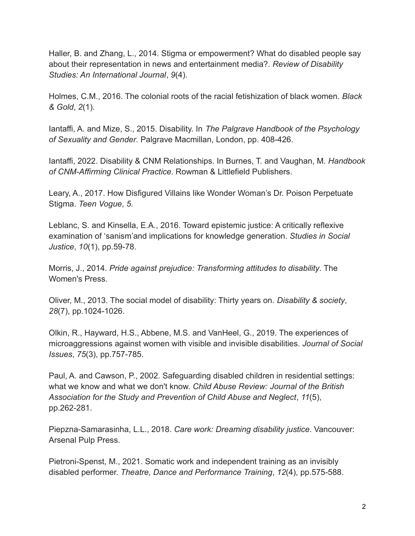Haller, B. and Zhang, L., 2014. Stigma or empowerment? What do disabled people say about their representation in news and entertainment media?. *Review of Disability Studies: An International Journal*, *9*(4).

Holmes, C.M., 2016. The colonial roots of the racial fetishization of black women. *Black & Gold*, *2*(1).

Iantaffi, A. and Mize, S., 2015. Disability. In *The Palgrave Handbook of the Psychology of Sexuality and Gender*. Palgrave Macmillan, London, pp. 408-426.

Iantaffi, 2022. Disability & CNM Relationships. In Burnes, T. and Vaughan, M. *Handbook of CNM-Affirming Clinical Practice.* Rowman & Littlefield Publishers.

Leary, A., 2017. How Disfigured Villains like Wonder Woman's Dr. Poison Perpetuate Stigma. *Teen Vogue*, *5*.

Leblanc, S. and Kinsella, E.A., 2016. Toward epistemic justice: A critically reflexive examination of 'sanism'and implications for knowledge generation. *Studies in Social Justice*, *10*(1), pp.59-78.

Morris, J., 2014. *Pride against prejudice: Transforming attitudes to disability*. The Women's Press.

Oliver, M., 2013. The social model of disability: Thirty years on. *Disability & society*, *28*(7), pp.1024-1026.

Olkin, R., Hayward, H.S., Abbene, M.S. and VanHeel, G., 2019. The experiences of microaggressions against women with visible and invisible disabilities. *Journal of Social Issues*, *75*(3), pp.757-785.

Paul, A. and Cawson, P., 2002. Safeguarding disabled children in residential settings: what we know and what we don't know. *Child Abuse Review: Journal of the British Association for the Study and Prevention of Child Abuse and Neglect*, *11*(5), pp.262-281.

Piepzna-Samarasinha, L.L., 2018. *Care work: Dreaming disability justice*. Vancouver: Arsenal Pulp Press.

Pietroni-Spenst, M., 2021. Somatic work and independent training as an invisibly disabled performer. *Theatre, Dance and Performance Training*, *12*(4), pp.575-588.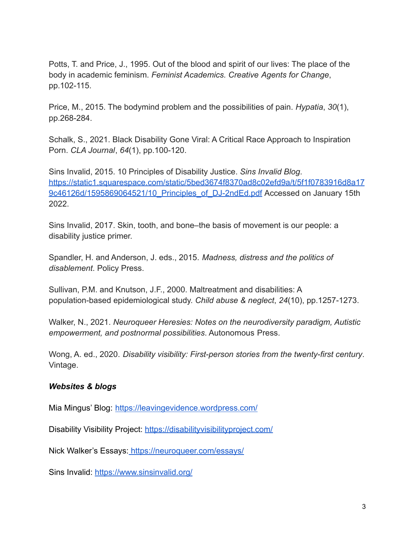Potts, T. and Price, J., 1995. Out of the blood and spirit of our lives: The place of the body in academic feminism. *Feminist Academics. Creative Agents for Change*, pp.102-115.

Price, M., 2015. The bodymind problem and the possibilities of pain. *Hypatia*, *30*(1), pp.268-284.

Schalk, S., 2021. Black Disability Gone Viral: A Critical Race Approach to Inspiration Porn. *CLA Journal*, *64*(1), pp.100-120.

Sins Invalid, 2015. 10 Principles of Disability Justice. *Sins Invalid Blog*. [https://static1.squarespace.com/static/5bed3674f8370ad8c02efd9a/t/5f1f0783916d8a17](https://static1.squarespace.com/static/5bed3674f8370ad8c02efd9a/t/5f1f0783916d8a179c46126d/1595869064521/10_Principles_of_DJ-2ndEd.pdf) 9c46126d/1595869064521/10 Principles of DJ-2ndEd.pdf Accessed on January 15th 2022.

Sins Invalid, 2017. Skin, tooth, and bone–the basis of movement is our people: a disability justice primer.

Spandler, H. and Anderson, J. eds., 2015. *Madness, distress and the politics of disablement*. Policy Press.

Sullivan, P.M. and Knutson, J.F., 2000. Maltreatment and disabilities: A population-based epidemiological study. *Child abuse & neglect*, *24*(10), pp.1257-1273.

Walker, N., 2021. *Neuroqueer Heresies: Notes on the neurodiversity paradigm, Autistic empowerment, and postnormal possibilities*. Autonomous Press.

Wong, A. ed., 2020. *Disability visibility: First-person stories from the twenty-first century*. Vintage.

### *Websites & blogs*

Mia Mingus' Blog: <https://leavingevidence.wordpress.com/>

Disability Visibility Project: <https://disabilityvisibilityproject.com/>

Nick Walker's Essays: <https://neuroqueer.com/essays/>

Sins Invalid: <https://www.sinsinvalid.org/>